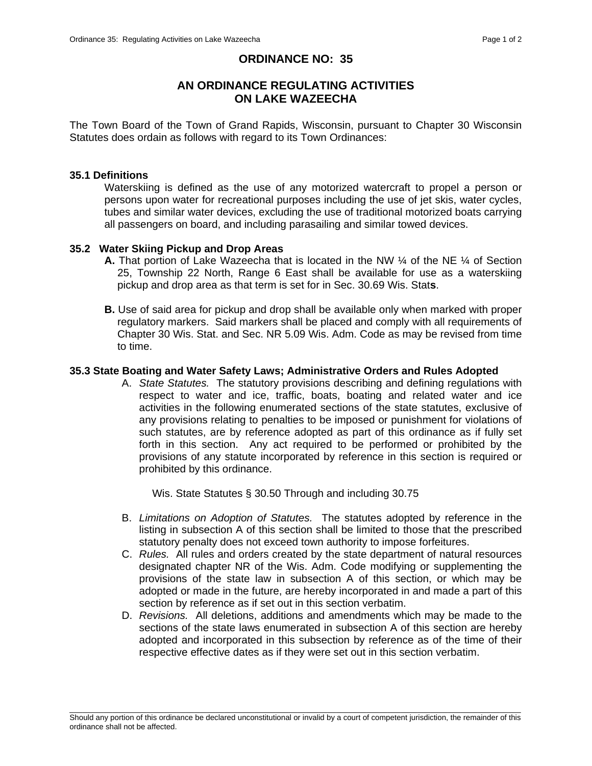## **ORDINANCE NO: 35**

# **AN ORDINANCE REGULATING ACTIVITIES ON LAKE WAZEECHA**

The Town Board of the Town of Grand Rapids, Wisconsin, pursuant to Chapter 30 Wisconsin Statutes does ordain as follows with regard to its Town Ordinances:

#### **35.1 Definitions**

 Waterskiing is defined as the use of any motorized watercraft to propel a person or persons upon water for recreational purposes including the use of jet skis, water cycles, tubes and similar water devices, excluding the use of traditional motorized boats carrying all passengers on board, and including parasailing and similar towed devices.

## **35.2 Water Skiing Pickup and Drop Areas**

- **A.** That portion of Lake Wazeecha that is located in the NW  $\frac{1}{4}$  of the NE  $\frac{1}{4}$  of Section 25, Township 22 North, Range 6 East shall be available for use as a waterskiing pickup and drop area as that term is set for in Sec. 30.69 Wis. Stat**s**.
- **B.** Use of said area for pickup and drop shall be available only when marked with proper regulatory markers. Said markers shall be placed and comply with all requirements of Chapter 30 Wis. Stat. and Sec. NR 5.09 Wis. Adm. Code as may be revised from time to time.

## **35.3 State Boating and Water Safety Laws; Administrative Orders and Rules Adopted**

A. *State Statutes.* The statutory provisions describing and defining regulations with respect to water and ice, traffic, boats, boating and related water and ice activities in the following enumerated sections of the state statutes, exclusive of any provisions relating to penalties to be imposed or punishment for violations of such statutes, are by reference adopted as part of this ordinance as if fully set forth in this section. Any act required to be performed or prohibited by the provisions of any statute incorporated by reference in this section is required or prohibited by this ordinance.

Wis. State Statutes § 30.50 Through and including 30.75

- B. *Limitations on Adoption of Statutes.* The statutes adopted by reference in the listing in subsection A of this section shall be limited to those that the prescribed statutory penalty does not exceed town authority to impose forfeitures.
- C. *Rules.* All rules and orders created by the state department of natural resources designated chapter NR of the Wis. Adm. Code modifying or supplementing the provisions of the state law in subsection A of this section, or which may be adopted or made in the future, are hereby incorporated in and made a part of this section by reference as if set out in this section verbatim.
- D. *Revisions.* All deletions, additions and amendments which may be made to the sections of the state laws enumerated in subsection A of this section are hereby adopted and incorporated in this subsection by reference as of the time of their respective effective dates as if they were set out in this section verbatim.